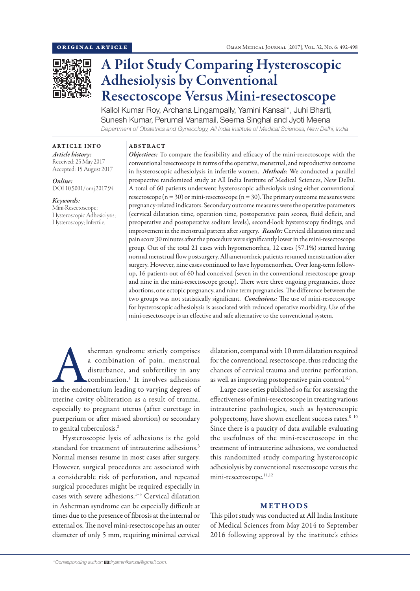

*Article history:* Received: 25 May 2017 Accepted: 15 August 2017

*Online:*

*Keywords:*  Mini-Resectoscope; Hysteroscopic Adhesiolysis; Hysteroscopy; Infertile.

# A Pilot Study Comparing Hysteroscopic Adhesiolysis by Conventional Resectoscope Versus Mini-resectoscope

Kallol Kumar Roy, Archana Lingampally, Yamini Kansal\*, Juhi Bharti, Sunesh Kumar, Perumal Vanamail, Seema Singhal and Jyoti Meena *Department of Obstetrics and Gynecology, All India Institute of Medical Sciences, New Delhi, India*

ABSTRACT

*Objectives:* To compare the feasibility and efficacy of the mini-resectoscope with the conventional resectoscope in terms of the operative, menstrual, and reproductive outcome in hysteroscopic adhesiolysis in infertile women. *Methods*: We conducted a parallel prospective randomized study at All India Institute of Medical Sciences, New Delhi. A total of 60 patients underwent hysteroscopic adhesiolysis using either conventional resectoscope ( $n = 30$ ) or mini-resectoscope ( $n = 30$ ). The primary outcome measures were pregnancy-related indicators. Secondary outcome measures were the operative parameters (cervical dilatation time, operation time, postoperative pain scores, fluid deficit, and preoperative and postoperative sodium levels), second-look hysteroscopy findings, and improvement in the menstrual pattern after surgery. *Results:* Cervical dilatation time and pain score 30 minutes after the procedure were significantly lower in the mini-resectoscope group. Out of the total 21 cases with hypomenorrhea, 12 cases (57.1%) started having normal menstrual flow postsurgery. All amenorrheic patients resumed menstruation after surgery. However, nine cases continued to have hypomenorrhea. Over long-term followup, 16 patients out of 60 had conceived (seven in the conventional resectoscope group and nine in the mini-resectoscope group). There were three ongoing pregnancies, three abortions, one ectopic pregnancy, and nine term pregnancies. The difference between the two groups was not statistically significant. *Conclusions:* The use of mini-resectoscope for hysteroscopic adhesiolysis is associated with reduced operative morbidity. Use of the mini-resectoscope is an effective and safe alternative to the conventional system.

sherman syndrome strictly comprises<br>
a combination of pain, menstrual<br>
disturbance, and subfertility in any<br>
combination.<sup>1</sup> It involves adhesions<br>
in the endometrium leading to varying degrees of a combination of pain, menstrual disturbance, and subfertility in any combination.1 It involves adhesions uterine cavity obliteration as a result of trauma, especially to pregnant uterus (after curettage in puerperium or after missed abortion) or secondary to genital tuberculosis.<sup>2</sup>

Hysteroscopic lysis of adhesions is the gold standard for treatment of intrauterine adhesions.<sup>3</sup> Normal menses resume in most cases after surgery. However, surgical procedures are associated with a considerable risk of perforation, and repeated surgical procedures might be required especially in cases with severe adhesions.1–5 Cervical dilatation in Asherman syndrome can be especially difficult at times due to the presence of fibrosis at the internal or external os. The novel mini-resectoscope has an outer diameter of only 5 mm, requiring minimal cervical

dilatation, compared with 10 mm dilatation required for the conventional resectoscope, thus reducing the chances of cervical trauma and uterine perforation, as well as improving postoperative pain control.<sup>6,7</sup>

Large case series published so far for assessing the effectiveness of mini-resectoscope in treating various intrauterine pathologies, such as hysteroscopic polypectomy, have shown excellent success rates.<sup>8-10</sup> Since there is a paucity of data available evaluating the usefulness of the mini-resectoscope in the treatment of intrauterine adhesions, we conducted this randomized study comparing hysteroscopic adhesiolysis by conventional resectoscope versus the mini-resectoscope.<sup>11,12</sup>

## METHODS

This pilot study was conducted at All India Institute of Medical Sciences from May 2014 to September 2016 following approval by the institute's ethics

ARTICLE INFO

DOI 10.5001/omj.2017.94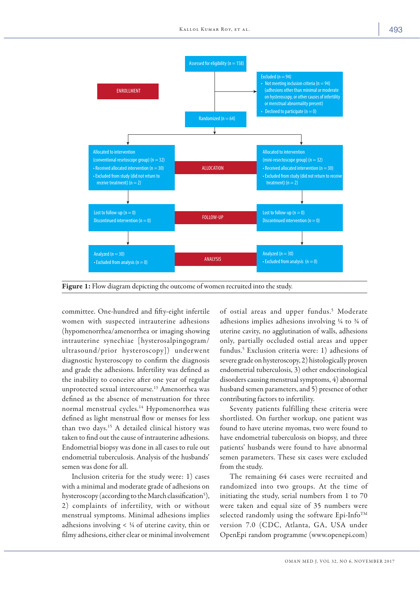

Figure 1: Flow diagram depicting the outcome of women recruited into the study.

committee. One-hundred and fifty-eight infertile women with suspected intrauterine adhesions (hypomenorrhea/amenorrhea or imaging showing intrauterine synechiae [hysterosalpingogram/ ultrasound/prior hysteroscopy]) underwent diagnostic hysteroscopy to confirm the diagnosis and grade the adhesions. Infertility was defined as the inability to conceive after one year of regular unprotected sexual intercourse.13 Amenorrhea was defined as the absence of menstruation for three normal menstrual cycles.14 Hypomenorrhea was defined as light menstrual flow or menses for less than two days.15 A detailed clinical history was taken to find out the cause of intrauterine adhesions. Endometrial biopsy was done in all cases to rule out endometrial tuberculosis. Analysis of the husbands' semen was done for all.

Inclusion criteria for the study were: 1) cases with a minimal and moderate grade of adhesions on hysteroscopy (according to the March classification<sup>5</sup>), 2) complaints of infertility, with or without menstrual symptoms. Minimal adhesions implies adhesions involving  $< \frac{1}{4}$  of uterine cavity, thin or filmy adhesions, either clear or minimal involvement

of ostial areas and upper fundus.<sup>5</sup> Moderate adhesions implies adhesions involving ¼ to ¾ of uterine cavity, no agglutination of walls, adhesions only, partially occluded ostial areas and upper fundus.5 Exclusion criteria were: 1) adhesions of severe grade on hysteroscopy, 2) histologically proven endometrial tuberculosis, 3) other endocrinological disorders causing menstrual symptoms, 4) abnormal husband semen parameters, and 5) presence of other contributing factors to infertility.

Seventy patients fulfilling these criteria were shortlisted. On further workup, one patient was found to have uterine myomas, two were found to have endometrial tuberculosis on biopsy, and three patients' husbands were found to have abnormal semen parameters. These six cases were excluded from the study.

The remaining 64 cases were recruited and randomized into two groups. At the time of initiating the study, serial numbers from 1 to 70 were taken and equal size of 35 numbers were selected randomly using the software Epi-Info<sup>TM</sup> version 7.0 (CDC, Atlanta, GA, USA under OpenEpi random programme (www.openepi.com)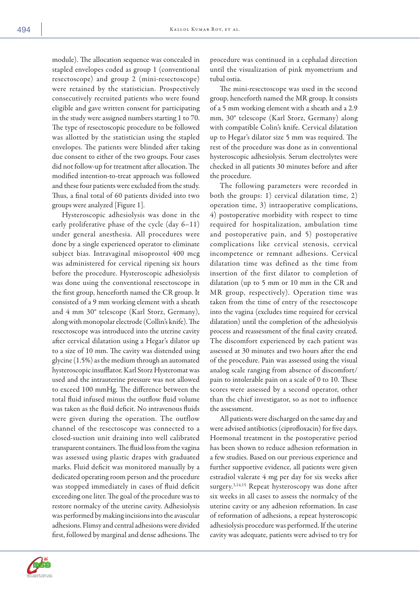module). The allocation sequence was concealed in stapled envelopes coded as group 1 (conventional resectoscope) and group 2 (mini-resectoscope) were retained by the statistician. Prospectively consecutively recruited patients who were found eligible and gave written consent for participating in the study were assigned numbers starting 1 to 70. The type of resectoscopic procedure to be followed was allotted by the statistician using the stapled envelopes. The patients were blinded after taking due consent to either of the two groups. Four cases did not follow-up for treatment after allocation. The modified intention-to-treat approach was followed and these four patients were excluded from the study. Thus, a final total of 60 patients divided into two groups were analyzed [Figure 1].

Hysteroscopic adhesiolysis was done in the early proliferative phase of the cycle (day 6–11) under general anesthesia. All procedures were done by a single experienced operator to eliminate subject bias. Intravaginal misoprostol 400 mcg was administered for cervical ripening six hours before the procedure. Hysteroscopic adhesiolysis was done using the conventional resectoscope in the first group, henceforth named the CR group. It consisted of a 9 mm working element with a sheath and 4 mm 30° telescope (Karl Storz, Germany), along with monopolar electrode (Collin's knife). The resectoscope was introduced into the uterine cavity after cervical dilatation using a Hegar's dilator up to a size of 10 mm. The cavity was distended using glycine (1.5%) as the medium through an automated hysteroscopic insufflator. Karl Storz Hysteromat was used and the intrauterine pressure was not allowed to exceed 100 mmHg. The difference between the total fluid infused minus the outflow fluid volume was taken as the fluid deficit. No intravenous fluids were given during the operation. The outflow channel of the resectoscope was connected to a closed-suction unit draining into well calibrated transparent containers. The fluid loss from the vagina was assessed using plastic drapes with graduated marks. Fluid deficit was monitored manually by a dedicated operating room person and the procedure was stopped immediately in cases of fluid deficit exceeding one liter. The goal of the procedure was to restore normalcy of the uterine cavity. Adhesiolysis was performed by making incisions into the avascular adhesions. Flimsy and central adhesions were divided first, followed by marginal and dense adhesions. The

procedure was continued in a cephalad direction until the visualization of pink myometrium and tubal ostia.

The mini-resectoscope was used in the second group, henceforth named the MR group. It consists of a 5 mm working element with a sheath and a 2.9 mm, 30° telescope (Karl Storz, Germany) along with compatible Colin's knife. Cervical dilatation up to Hegar's dilator size 5 mm was required. The rest of the procedure was done as in conventional hysteroscopic adhesiolysis. Serum electrolytes were checked in all patients 30 minutes before and after the procedure.

The following parameters were recorded in both the groups: 1) cervical dilatation time, 2) operation time, 3) intraoperative complications, 4) postoperative morbidity with respect to time required for hospitalization, ambulation time and postoperative pain, and 5) postoperative complications like cervical stenosis, cervical incompetence or remnant adhesions. Cervical dilatation time was defined as the time from insertion of the first dilator to completion of dilatation (up to 5 mm or 10 mm in the CR and MR group, respectively). Operation time was taken from the time of entry of the resectoscope into the vagina (excludes time required for cervical dilatation) until the completion of the adhesiolysis process and reassessment of the final cavity created. The discomfort experienced by each patient was assessed at 30 minutes and two hours after the end of the procedure. Pain was assessed using the visual analog scale ranging from absence of discomfort/ pain to intolerable pain on a scale of 0 to 10. These scores were assessed by a second operator, other than the chief investigator, so as not to influence the assessment.

All patients were discharged on the same day and were advised antibiotics (ciprofloxacin) for five days. Hormonal treatment in the postoperative period has been shown to reduce adhesion reformation in a few studies. Based on our previous experience and further supportive evidence, all patients were given estradiol valerate 4 mg per day for six weeks after surgery.3,14,15 Repeat hysteroscopy was done after six weeks in all cases to assess the normalcy of the uterine cavity or any adhesion reformation. In case of reformation of adhesions, a repeat hysteroscopic adhesiolysis procedure was performed. If the uterine cavity was adequate, patients were advised to try for

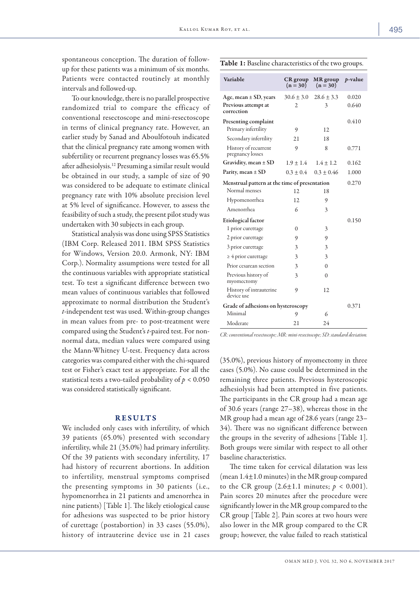spontaneous conception. The duration of followup for these patients was a minimum of six months. Patients were contacted routinely at monthly intervals and followed-up.

To our knowledge, there is no parallel prospective randomized trial to compare the efficacy of conventional resectoscope and mini-resectoscope in terms of clinical pregnancy rate. However, an earlier study by Sanad and Aboulfotouh indicated that the clinical pregnancy rate among women with subfertility or recurrent pregnancy losses was 65.5% after adhesiolysis.12 Presuming a similar result would be obtained in our study, a sample of size of 90 was considered to be adequate to estimate clinical pregnancy rate with 10% absolute precision level at 5% level of significance. However, to assess the feasibility of such a study, the present pilot study was undertaken with 30 subjects in each group.

Statistical analysis was done using SPSS Statistics (IBM Corp. Released 2011. IBM SPSS Statistics for Windows, Version 20.0. Armonk, NY: IBM Corp.). Normality assumptions were tested for all the continuous variables with appropriate statistical test. To test a significant difference between two mean values of continuous variables that followed approximate to normal distribution the Student's *t*-independent test was used. Within-group changes in mean values from pre- to post-treatment were compared using the Student's *t*-paired test. For nonnormal data, median values were compared using the Mann-Whitney U-test. Frequency data across categories was compared either with the chi-squared test or Fisher's exact test as appropriate. For all the statistical tests a two-tailed probability of *p* < 0.050 was considered statistically significant.

## RESULTS

We included only cases with infertility, of which 39 patients (65.0%) presented with secondary infertility, while 21 (35.0%) had primary infertility. Of the 39 patients with secondary infertility, 17 had history of recurrent abortions. In addition to infertility, menstrual symptoms comprised the presenting symptoms in 30 patients (i.e., hypomenorrhea in 21 patients and amenorrhea in nine patients) [Table 1]. The likely etiological cause for adhesions was suspected to be prior history of curettage (postabortion) in 33 cases (55.0%), history of intrauterine device use in 21 cases

|  |  |  | Table 1: Baseline characteristics of the two groups. |  |  |  |
|--|--|--|------------------------------------------------------|--|--|--|
|--|--|--|------------------------------------------------------|--|--|--|

| Variable                                      | CR group<br>$(n = 30)$ | MR group<br>$(n = 30)$ | <i>p</i> -value |
|-----------------------------------------------|------------------------|------------------------|-----------------|
| Age, mean $\pm$ SD, years                     | $30.6 \pm 3.0$         | $28.6 \pm 3.3$         | 0.020           |
| Previous attempt at<br>correction             | 2                      | 3                      | 0.640           |
| <b>Presenting complaint</b>                   |                        |                        | 0.410           |
| Primary infertility                           | 9                      | 12                     |                 |
| Secondary infertility                         | 2.1                    | 18                     |                 |
| History of recurrent<br>pregnancy losses      | 9                      | 8                      | 0.771           |
| Gravidity, mean $\pm$ SD                      | $1.9 \pm 1.4$          | $1.4 + 1.2$            | 0.162           |
| Parity, mean $\pm$ SD                         | $0.3 \pm 0.4$          | $0.3 \pm 0.46$         | 1.000           |
| Menstrual pattern at the time of presentation | 0.270                  |                        |                 |
| Normal menses                                 | 12                     | 18                     |                 |
| Hypomenorrhea                                 | 12                     | 9                      |                 |
| Amenorrhea                                    | 6                      | 3                      |                 |
| Etiological factor                            |                        |                        | 0.150           |
| 1 prior curettage                             | $\Omega$               | 3                      |                 |
| 2 prior curettage                             | 9                      | 9                      |                 |
| 3 prior curettage                             | 3                      | 3                      |                 |
| $\geq 4$ prior curettage                      | 3                      | 3                      |                 |
| Prior cesarean section                        | 3                      | $\Omega$               |                 |
| Previous history of<br>myomectomy             | 3                      | 0                      |                 |
| History of intrauterine<br>device use         | 9                      | 12                     |                 |
| Grade of adhesions on hysteroscopy            | 0.371                  |                        |                 |
| Minimal                                       | 9                      | 6                      |                 |
| Moderate                                      | 21                     | 24                     |                 |
|                                               |                        |                        |                 |

*CR: conventional resectoscope; MR: mini-resectoscope; SD: standard deviation.*

(35.0%), previous history of myomectomy in three cases (5.0%). No cause could be determined in the remaining three patients. Previous hysteroscopic adhesiolysis had been attempted in five patients. The participants in the CR group had a mean age of 30.6 years (range 27–38), whereas those in the MR group had a mean age of 28.6 years (range 23– 34). There was no significant difference between the groups in the severity of adhesions [Table 1]. Both groups were similar with respect to all other baseline characteristics.

The time taken for cervical dilatation was less (mean  $1.4\pm1.0$  minutes) in the MR group compared to the CR group  $(2.6 \pm 1.1 \text{ minutes}; p < 0.001)$ . Pain scores 20 minutes after the procedure were significantly lower in the MR group compared to the CR group [Table 2]. Pain scores at two hours were also lower in the MR group compared to the CR group; however, the value failed to reach statistical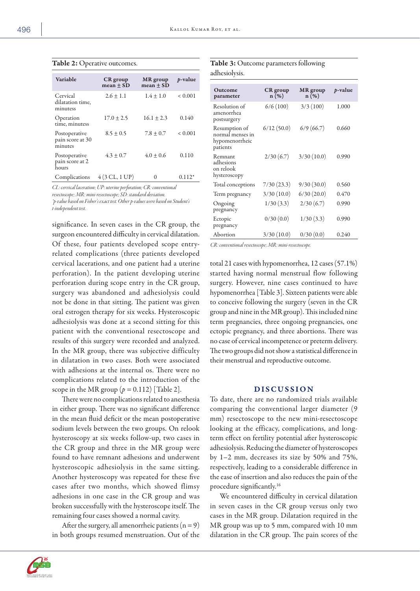| Variable                                     | CR group<br>mean $\pm$ SD | MR group<br>mean $\pm$ SD | p-value     |
|----------------------------------------------|---------------------------|---------------------------|-------------|
| Cervical<br>dilatation time,<br>minutess     | $2.6 \pm 1.1$             | $1.4 \pm 1.0$             | ${}< 0.001$ |
| Operation<br>time, minutess                  | $17.0 \pm 2.5$            | $16.1 \pm 2.3$            | 0.140       |
| Postoperative<br>pain score at 30<br>minutes | $8.5 \pm 0.5$             | $7.8 \pm 0.7$             | ${}< 0.001$ |
| Postoperative<br>pain score at 2<br>hours    | $4.3 \pm 0.7$             | $4.0 \pm 0.6$             | 0.110       |
| Complications                                | 4 (3 CL, 1 UP)            | 0                         | $0.112*$    |

Table 2: Operative outcomes.

*CL: cervical laceration; UP: uterine perforation; CR: conventional resectoscope; MR: mini-resectoscope; SD: standard deviation. \*p-value based on Fisher's exact test. Other p-values were based on Student's t-independent test.*

significance. In seven cases in the CR group, the surgeon encountered difficulty in cervical dilatation. Of these, four patients developed scope entryrelated complications (three patients developed cervical lacerations, and one patient had a uterine perforation). In the patient developing uterine perforation during scope entry in the CR group, surgery was abandoned and adhesiolysis could not be done in that sitting. The patient was given oral estrogen therapy for six weeks. Hysteroscopic adhesiolysis was done at a second sitting for this patient with the conventional resectoscope and results of this surgery were recorded and analyzed. In the MR group, there was subjective difficulty in dilatation in two cases. Both were associated with adhesions at the internal os. There were no complications related to the introduction of the scope in the MR group  $(p = 0.112)$  [Table 2].

There were no complications related to anesthesia in either group. There was no significant difference in the mean fluid deficit or the mean postoperative sodium levels between the two groups. On relook hysteroscopy at six weeks follow-up, two cases in the CR group and three in the MR group were found to have remnant adhesions and underwent hysteroscopic adhesiolysis in the same sitting. Another hysteroscopy was repeated for these five cases after two months, which showed flimsy adhesions in one case in the CR group and was broken successfully with the hysteroscope itself. The remaining four cases showed a normal cavity.

After the surgery, all amenorrheic patients  $(n = 9)$ in both groups resumed menstruation. Out of the

### adhesiolysis. Outcome parameter CR group  $n$  (%) MR group  $n (\%)$ *p-*value Resolution of amenorrhea postsurgery  $6/6(100)$   $3/3(100)$   $1.000$ Resumption of normal menses in hypomenorrheic patients  $6/12(50.0)$   $6/9(66.7)$  0.660 Remnant adhesions on relook hysteroscopy 2/30 (6.7) 3/30 (10.0) 0.990 Total conceptions 7/30 (23.3) 9/30 (30.0) 0.560 Term pregnancy 3/30 (10.0) 6/30 (20.0) 0.470 Ongoing pregnancy  $1/30$  (3.3)  $2/30$  (6.7) 0.990 Ectopic  $0/30(0.0)$   $1/30(3.3)$  0.990

Table 3: Outcome parameters following

*CR: conventional resectoscope; MR: mini-resectoscope.* 

pregnancy

total 21 cases with hypomenorrhea, 12 cases (57.1%) started having normal menstrual flow following surgery. However, nine cases continued to have hypomenorrhea [Table 3]. Sixteen patients were able to conceive following the surgery (seven in the CR group and nine in the MR group). This included nine term pregnancies, three ongoing pregnancies, one ectopic pregnancy, and three abortions. There was no case of cervical incompetence or preterm delivery. The two groups did not show a statistical difference in their menstrual and reproductive outcome.

Abortion  $3/30 (10.0) 0/30 (0.0) 0.240$ 

## DISCUSSION

To date, there are no randomized trials available comparing the conventional larger diameter (9 mm) resectoscope to the new mini-resectoscope looking at the efficacy, complications, and longterm effect on fertility potential after hysteroscopic adhesiolysis. Reducing the diameter of hysteroscopes by 1–2 mm, decreases its size by 50% and 75%, respectively, leading to a considerable difference in the ease of insertion and also reduces the pain of the procedure significantly.16

We encountered difficulty in cervical dilatation in seven cases in the CR group versus only two cases in the MR group. Dilatation required in the MR group was up to 5 mm, compared with 10 mm dilatation in the CR group. The pain scores of the

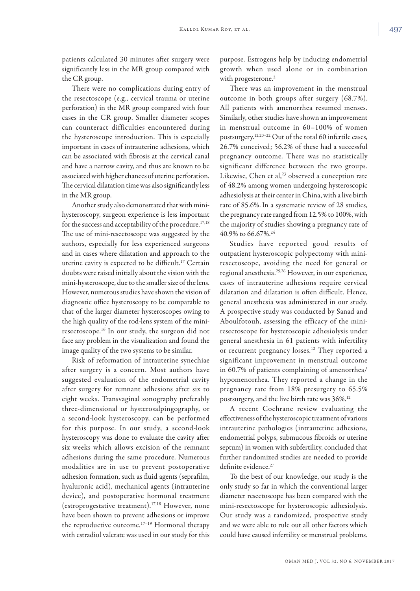patients calculated 30 minutes after surgery were significantly less in the MR group compared with the CR group.

There were no complications during entry of the resectoscope (e.g., cervical trauma or uterine perforation) in the MR group compared with four cases in the CR group. Smaller diameter scopes can counteract difficulties encountered during the hysteroscope introduction. This is especially important in cases of intrauterine adhesions, which can be associated with fibrosis at the cervical canal and have a narrow cavity, and thus are known to be associated with higher chances of uterine perforation. The cervical dilatation time was also significantly less in the MR group.

Another study also demonstrated that with minihysteroscopy, surgeon experience is less important for the success and acceptability of the procedure.<sup>17,18</sup> The use of mini-resectoscope was suggested by the authors, especially for less experienced surgeons and in cases where dilatation and approach to the uterine cavity is expected to be difficult.17 Certain doubts were raised initially about the vision with the mini-hysteroscope, due to the smaller size of the lens. However, numerous studies have shown the vision of diagnostic office hysteroscopy to be comparable to that of the larger diameter hysteroscopes owing to the high quality of the rod-lens system of the miniresectoscope.16 In our study, the surgeon did not face any problem in the visualization and found the image quality of the two systems to be similar.

Risk of reformation of intrauterine synechiae after surgery is a concern. Most authors have suggested evaluation of the endometrial cavity after surgery for remnant adhesions after six to eight weeks. Transvaginal sonography preferably three-dimensional or hysterosalpingography, or a second-look hysteroscopy, can be performed for this purpose. In our study, a second-look hysteroscopy was done to evaluate the cavity after six weeks which allows excision of the remnant adhesions during the same procedure. Numerous modalities are in use to prevent postoperative adhesion formation, such as fluid agents (seprafilm, hyaluronic acid), mechanical agents (intrauterine device), and postoperative hormonal treatment (estroprogestative treatment).17,18 However, none have been shown to prevent adhesions or improve the reproductive outcome.17–19 Hormonal therapy with estradiol valerate was used in our study for this purpose. Estrogens help by inducing endometrial growth when used alone or in combination with progesterone.<sup>2</sup>

There was an improvement in the menstrual outcome in both groups after surgery (68.7%). All patients with amenorrhea resumed menses. Similarly, other studies have shown an improvement in menstrual outcome in 60–100% of women postsurgery.12,20–22 Out of the total 60 infertile cases, 26.7% conceived; 56.2% of these had a successful pregnancy outcome. There was no statistically significant difference between the two groups. Likewise, Chen et al,<sup>23</sup> observed a conception rate of 48.2% among women undergoing hysteroscopic adhesiolysis at their center in China, with a live birth rate of 85.6%.In a systematic review of 28 studies, the pregnancy rate ranged from 12.5% to 100%, with the majority of studies showing a pregnancy rate of 40.9% to 66.67%.24

Studies have reported good results of outpatient hysteroscopic polypectomy with miniresectoscope, avoiding the need for general or regional anesthesia.25,26 However, in our experience, cases of intrauterine adhesions require cervical dilatation and dilatation is often difficult. Hence, general anesthesia was administered in our study. A prospective study was conducted by Sanad and Aboulfotouh, assessing the efficacy of the miniresectoscope for hysteroscopic adhesiolysis under general anesthesia in 61 patients with infertility or recurrent pregnancy losses.12 They reported a significant improvement in menstrual outcome in 60.7% of patients complaining of amenorrhea/ hypomenorrhea. They reported a change in the pregnancy rate from 18% presurgery to 65.5% postsurgery, and the live birth rate was 36%.12

A recent Cochrane review evaluating the effectiveness of the hysteroscopic treatment of various intrauterine pathologies (intrauterine adhesions, endometrial polyps, submucous fibroids or uterine septum) in women with subfertility, concluded that further randomized studies are needed to provide definite evidence.<sup>27</sup>

To the best of our knowledge, our study is the only study so far in which the conventional larger diameter resectoscope has been compared with the mini-resectoscope for hysteroscopic adhesiolysis. Our study was a randomized, prospective study and we were able to rule out all other factors which could have caused infertility or menstrual problems.